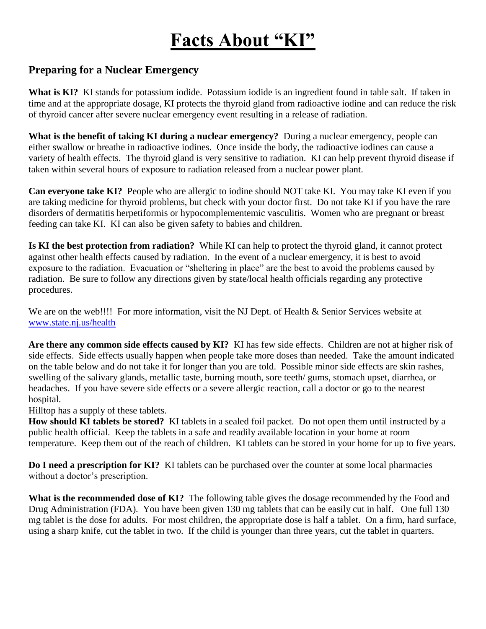# **Facts About "KI"**

## **Preparing for a Nuclear Emergency**

**What is KI?** KI stands for potassium iodide. Potassium iodide is an ingredient found in table salt. If taken in time and at the appropriate dosage, KI protects the thyroid gland from radioactive iodine and can reduce the risk of thyroid cancer after severe nuclear emergency event resulting in a release of radiation.

**What is the benefit of taking KI during a nuclear emergency?** During a nuclear emergency, people can either swallow or breathe in radioactive iodines. Once inside the body, the radioactive iodines can cause a variety of health effects. The thyroid gland is very sensitive to radiation. KI can help prevent thyroid disease if taken within several hours of exposure to radiation released from a nuclear power plant.

**Can everyone take KI?** People who are allergic to iodine should NOT take KI. You may take KI even if you are taking medicine for thyroid problems, but check with your doctor first. Do not take KI if you have the rare disorders of dermatitis herpetiformis or hypocomplementemic vasculitis. Women who are pregnant or breast feeding can take KI. KI can also be given safety to babies and children.

**Is KI the best protection from radiation?** While KI can help to protect the thyroid gland, it cannot protect against other health effects caused by radiation. In the event of a nuclear emergency, it is best to avoid exposure to the radiation. Evacuation or "sheltering in place" are the best to avoid the problems caused by radiation. Be sure to follow any directions given by state/local health officials regarding any protective procedures.

We are on the web!!!! For more information, visit the NJ Dept. of Health & Senior Services website at [www.state.nj.us/health](http://www.state.nj.us/health)

**Are there any common side effects caused by KI?** KI has few side effects. Children are not at higher risk of side effects. Side effects usually happen when people take more doses than needed. Take the amount indicated on the table below and do not take it for longer than you are told. Possible minor side effects are skin rashes, swelling of the salivary glands, metallic taste, burning mouth, sore teeth/ gums, stomach upset, diarrhea, or headaches. If you have severe side effects or a severe allergic reaction, call a doctor or go to the nearest hospital.

Hilltop has a supply of these tablets.

**How should KI tablets be stored?** KI tablets in a sealed foil packet. Do not open them until instructed by a public health official. Keep the tablets in a safe and readily available location in your home at room temperature. Keep them out of the reach of children. KI tablets can be stored in your home for up to five years.

**Do I need a prescription for KI?** KI tablets can be purchased over the counter at some local pharmacies without a doctor's prescription.

**What is the recommended dose of KI?** The following table gives the dosage recommended by the Food and Drug Administration (FDA). You have been given 130 mg tablets that can be easily cut in half. One full 130 mg tablet is the dose for adults. For most children, the appropriate dose is half a tablet. On a firm, hard surface, using a sharp knife, cut the tablet in two. If the child is younger than three years, cut the tablet in quarters.